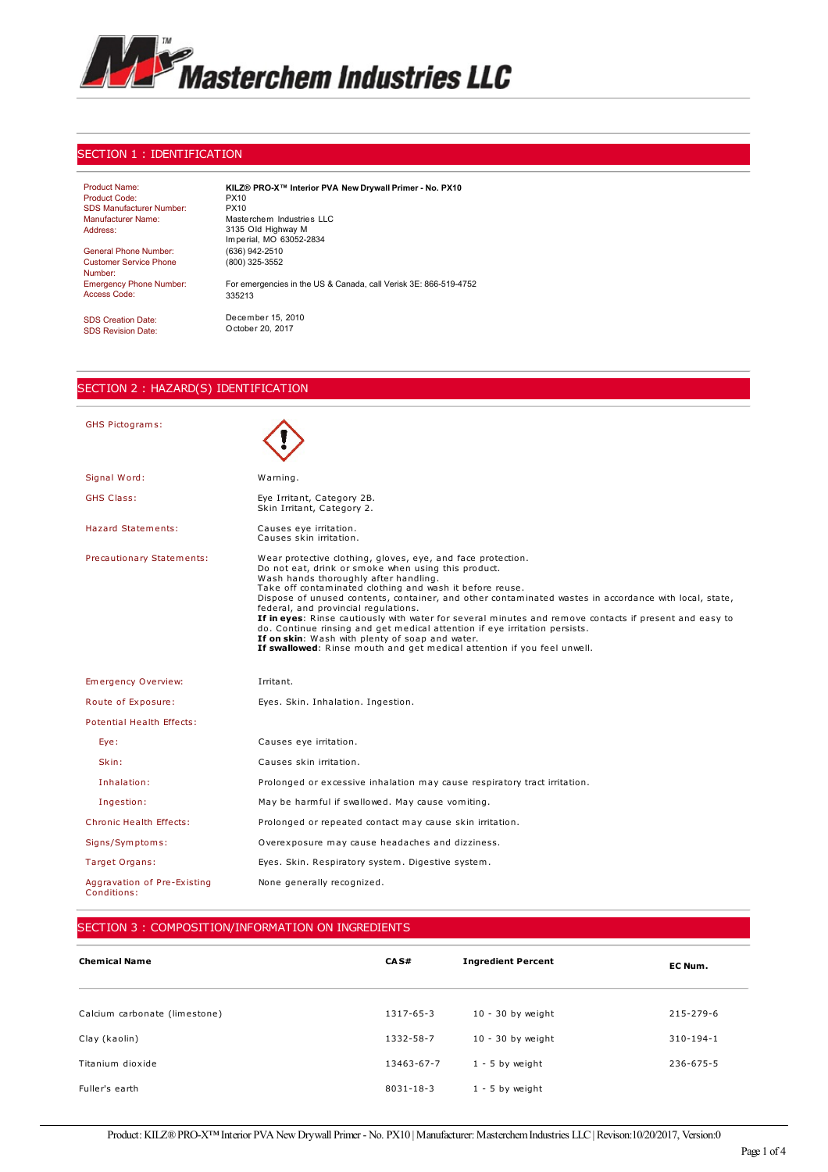

#### SECTION 1 : IDENTIFICATION

| <b>Product Name:</b>            | KILZ® PRO X™ Interior PVA New Drywall Primer - No. PX10          |
|---------------------------------|------------------------------------------------------------------|
| Product Code:                   | PX10                                                             |
| <b>SDS Manufacturer Number:</b> | PX10                                                             |
| Manufacturer Name:              | Masterchem Industries LLC                                        |
| Address:                        | 3135 Old Highway M                                               |
|                                 | Imperial, MO 63052-2834                                          |
| General Phone Number:           | (636) 942-2510                                                   |
| <b>Customer Service Phone</b>   | (800) 325-3552                                                   |
| Number:                         |                                                                  |
| <b>Emergency Phone Number:</b>  | For emergencies in the US & Canada, call Verisk 3E: 866-519-4752 |
| Access Code:                    | 335213                                                           |
|                                 |                                                                  |
| <b>SDS Creation Date:</b>       | December 15, 2010                                                |
|                                 | October 20, 2017                                                 |
| <b>SDS Revision Date:</b>       |                                                                  |
|                                 |                                                                  |

## SECTION 2 : HAZARD(S) IDENTIFICATION

| <b>GHS Pictograms:</b>                     |                                                                                                                                                                                                                                                                                                                                                                                                                                                                                                                                                                                                                                                                                                |
|--------------------------------------------|------------------------------------------------------------------------------------------------------------------------------------------------------------------------------------------------------------------------------------------------------------------------------------------------------------------------------------------------------------------------------------------------------------------------------------------------------------------------------------------------------------------------------------------------------------------------------------------------------------------------------------------------------------------------------------------------|
| Signal Word:                               | Warning.                                                                                                                                                                                                                                                                                                                                                                                                                                                                                                                                                                                                                                                                                       |
| <b>GHS Class:</b>                          | Eye Irritant, Category 2B.<br>Skin Irritant, Category 2.                                                                                                                                                                                                                                                                                                                                                                                                                                                                                                                                                                                                                                       |
| Hazard Statements:                         | Causes eye irritation.<br>Causes skin irritation.                                                                                                                                                                                                                                                                                                                                                                                                                                                                                                                                                                                                                                              |
| Precautionary Statements:                  | Wear protective clothing, gloves, eye, and face protection.<br>Do not eat, drink or smoke when using this product.<br>Wash hands thoroughly after handling.<br>Take off contaminated clothing and wash it before reuse.<br>Dispose of unused contents, container, and other contaminated wastes in accordance with local, state,<br>federal, and provincial requlations.<br>If in eyes: Rinse cautiously with water for several minutes and remove contacts if present and easy to<br>do. Continue rinsing and get medical attention if eye irritation persists.<br>If on skin: Wash with plenty of soap and water.<br>If swallowed: Rinse mouth and get medical attention if you feel unwell. |
| Emergency Overview:                        | Irritant.                                                                                                                                                                                                                                                                                                                                                                                                                                                                                                                                                                                                                                                                                      |
| Route of Exposure:                         | Eyes. Skin. Inhalation. Ingestion.                                                                                                                                                                                                                                                                                                                                                                                                                                                                                                                                                                                                                                                             |
| Potential Health Effects:                  |                                                                                                                                                                                                                                                                                                                                                                                                                                                                                                                                                                                                                                                                                                |
| Eye:                                       | Causes eye irritation.                                                                                                                                                                                                                                                                                                                                                                                                                                                                                                                                                                                                                                                                         |
| Skin:                                      | Causes skin irritation.                                                                                                                                                                                                                                                                                                                                                                                                                                                                                                                                                                                                                                                                        |
| Inhalation:                                | Prolonged or excessive inhalation may cause respiratory tract irritation.                                                                                                                                                                                                                                                                                                                                                                                                                                                                                                                                                                                                                      |
| Ingestion:                                 | May be harmful if swallowed. May cause vomiting.                                                                                                                                                                                                                                                                                                                                                                                                                                                                                                                                                                                                                                               |
| Chronic Health Effects:                    | Prolonged or repeated contact may cause skin irritation.                                                                                                                                                                                                                                                                                                                                                                                                                                                                                                                                                                                                                                       |
| Signs/Symptoms:                            | Overexposure may cause headaches and dizziness.                                                                                                                                                                                                                                                                                                                                                                                                                                                                                                                                                                                                                                                |
| Target Organs:                             | Eyes. Skin. Respiratory system. Digestive system.                                                                                                                                                                                                                                                                                                                                                                                                                                                                                                                                                                                                                                              |
| Aggravation of Pre-Existing<br>Conditions: | None generally recognized.                                                                                                                                                                                                                                                                                                                                                                                                                                                                                                                                                                                                                                                                     |

## SECTION 3 : COMPOSITION/INFORMATION ON INGREDIENTS

| <b>Chemical Name</b>          | CAS#       | <b>Ingredient Percent</b> | EC Num.         |
|-------------------------------|------------|---------------------------|-----------------|
| Calcium carbonate (limestone) | 1317-65-3  | $10 - 30$ by weight       | 215-279-6       |
| Clay (kaolin)                 | 1332-58-7  | $10 - 30$ by weight       | $310 - 194 - 1$ |
| Titanium dioxide              | 13463-67-7 | $1 - 5$ by weight         | $236 - 675 - 5$ |
| Fuller's earth                | 8031-18-3  | $1 - 5$ by weight         |                 |

Product: KILZ® PRO-X™ Interior PVA New Drywall Primer - No. PX10 | Manufacturer: Masterchem Industries LLC | Revison:10/20/2017, Version:0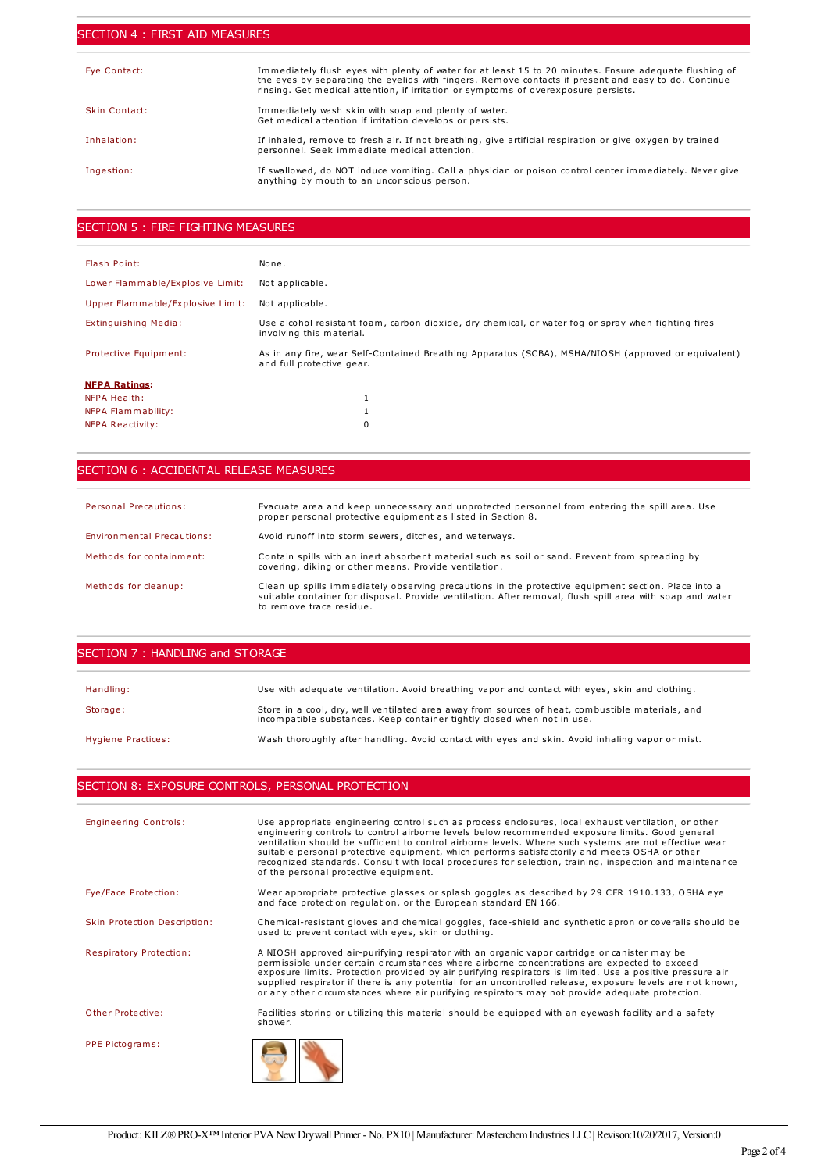#### SECTION 4 : FIRST AID MEASURES

| Eye Contact:  | Immediately flush eyes with plenty of water for at least 15 to 20 minutes. Ensure adequate flushing of<br>the eyes by separating the eyelids with fingers. Remove contacts if present and easy to do. Continue<br>rinsing. Get medical attention, if irritation or symptoms of overexposure persists. |
|---------------|-------------------------------------------------------------------------------------------------------------------------------------------------------------------------------------------------------------------------------------------------------------------------------------------------------|
| Skin Contact: | Immediately wash skin with soap and plenty of water.<br>Get medical attention if irritation develops or persists.                                                                                                                                                                                     |
| Inhalation:   | If inhaled, remove to fresh air. If not breathing, give artificial respiration or give oxygen by trained<br>personnel. Seek immediate medical attention.                                                                                                                                              |
| Ingestion:    | If swallowed, do NOT induce vomiting. Call a physician or poison control center immediately. Never give<br>anything by mouth to an unconscious person.                                                                                                                                                |

#### SECTION 5 : FIRE FIGHTING MEASURES

| Flash Point:                     | None.                                                                                                                            |
|----------------------------------|----------------------------------------------------------------------------------------------------------------------------------|
| Lower Flammable/Explosive Limit: | Not applicable.                                                                                                                  |
| Upper Flammable/Explosive Limit: | Not applicable.                                                                                                                  |
| Extinguishing Media:             | Use alcohol resistant foam, carbon dioxide, dry chemical, or water fog or spray when fighting fires<br>involving this material.  |
| Protective Equipment:            | As in any fire, wear Self-Contained Breathing Apparatus (SCBA), MSHA/NIOSH (approved or equivalent)<br>and full protective gear. |
| <b>NFPA Ratings:</b>             |                                                                                                                                  |
| NFPA Health:                     |                                                                                                                                  |
| NFPA Flammability:               |                                                                                                                                  |
| NFPA Reactivity:                 | 0                                                                                                                                |

## SECTION 6 : ACCIDENTAL RELEASE MEASURES

| <b>Personal Precautions:</b> | Evacuate area and keep unnecessary and unprotected personnel from entering the spill area. Use<br>proper personal protective equipment as listed in Section 8.                                                                               |
|------------------------------|----------------------------------------------------------------------------------------------------------------------------------------------------------------------------------------------------------------------------------------------|
| Environmental Precautions:   | Avoid runoff into storm sewers, ditches, and waterways.                                                                                                                                                                                      |
| Methods for containment:     | Contain spills with an inert absorbent material such as soil or sand. Prevent from spreading by<br>covering, diking or other means. Provide ventilation.                                                                                     |
| Methods for cleanup:         | Clean up spills immediately observing precautions in the protective equipment section. Place into a<br>suitable container for disposal. Provide ventilation. After removal, flush spill area with soap and water<br>to remove trace residue. |

#### SECTION 7 : HANDLING and STORAGE

| Handling:          | Use with adequate ventilation. Avoid breathing vapor and contact with eyes, skin and clothing.                                                                              |
|--------------------|-----------------------------------------------------------------------------------------------------------------------------------------------------------------------------|
| Storage:           | Store in a cool, dry, well ventilated area away from sources of heat, combustible materials, and<br>incompatible substances. Keep container tightly closed when not in use. |
| Hygiene Practices: | Wash thoroughly after handling. Avoid contact with eyes and skin. Avoid inhaling vapor or mist.                                                                             |

## SECTION 8: EXPOSURE CONTROLS, PERSONAL PROTECTION

| <b>Engineering Controls:</b>   | Use appropriate engineering control such as process enclosures, local exhaust ventilation, or other<br>engineering controls to control airborne levels below recommended exposure limits. Good general<br>ventilation should be sufficient to control airborne levels. Where such systems are not effective wear<br>suitable personal protective equipment, which performs satisfactorily and meets OSHA or other<br>recognized standards. Consult with local procedures for selection, training, inspection and maintenance<br>of the personal protective equipment. |
|--------------------------------|-----------------------------------------------------------------------------------------------------------------------------------------------------------------------------------------------------------------------------------------------------------------------------------------------------------------------------------------------------------------------------------------------------------------------------------------------------------------------------------------------------------------------------------------------------------------------|
| Eye/Face Protection:           | Wear appropriate protective glasses or splash goggles as described by 29 CFR 1910.133, OSHA eye<br>and face protection regulation, or the European standard EN 166.                                                                                                                                                                                                                                                                                                                                                                                                   |
| Skin Protection Description:   | Chemical-resistant gloves and chemical goggles, face-shield and synthetic apron or coveralls should be<br>used to prevent contact with eyes, skin or clothing.                                                                                                                                                                                                                                                                                                                                                                                                        |
| <b>Respiratory Protection:</b> | A NIOSH approved air-purifying respirator with an organic vapor cartridge or canister may be<br>permissible under certain circumstances where airborne concentrations are expected to exceed<br>exposure limits. Protection provided by air purifying respirators is limited. Use a positive pressure air<br>supplied respirator if there is any potential for an uncontrolled release, exposure levels are not known,<br>or any other circumstances where air purifying respirators may not provide adequate protection.                                             |
| Other Protective:              | Facilities storing or utilizing this material should be equipped with an eyewash facility and a safety<br>shower.                                                                                                                                                                                                                                                                                                                                                                                                                                                     |
| PPE Pictograms:                |                                                                                                                                                                                                                                                                                                                                                                                                                                                                                                                                                                       |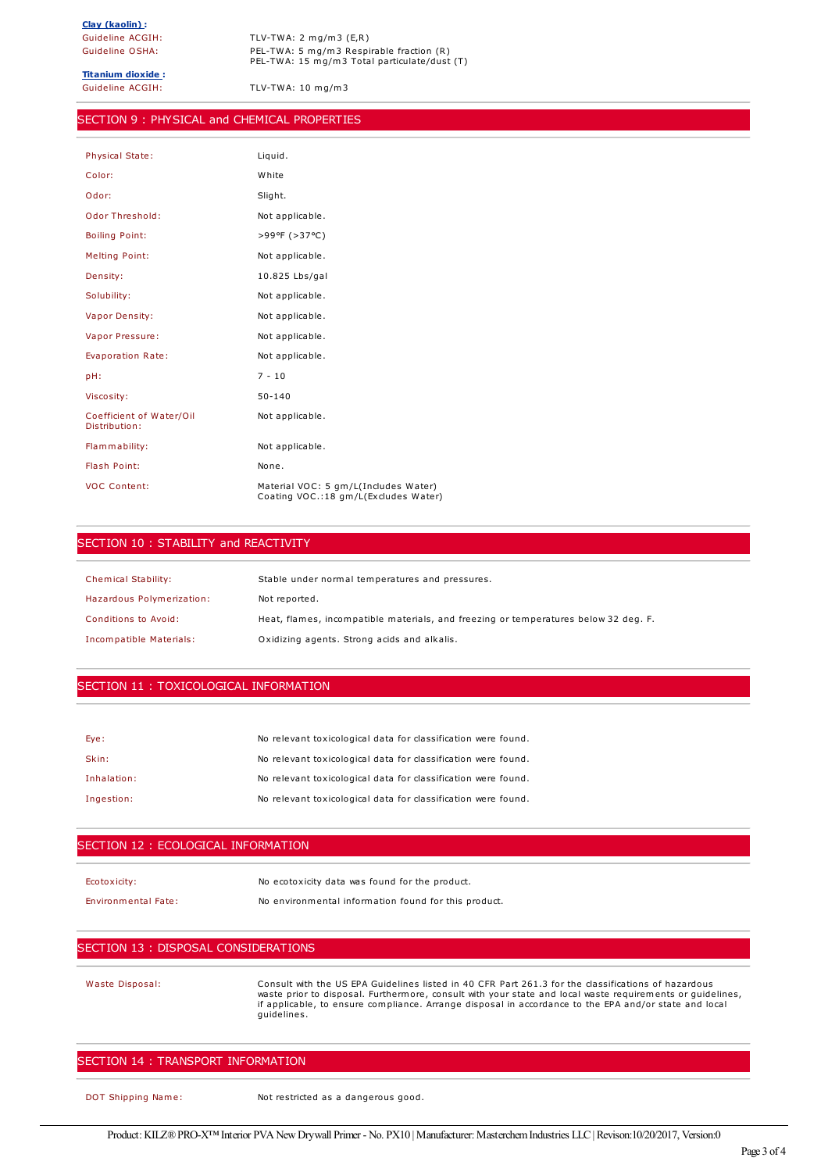Guideline ACGIH: TLV-TWA: 2 mg/m3 (E,R) Guideline OSHA: PEL-TWA: 5 mg/m3 Respirable fraction (R) PEL-TWA: 15 mg/m3 Total particulate/dust (T)

**Titanium dioxide :**

Guideline ACGIH: TLV-TWA: 10 mg/m3

## SECTION 9 : PHYSICAL and CHEMICAL PROPERTIES

| <b>Physical State:</b>                    | Liquid.                                                                      |
|-------------------------------------------|------------------------------------------------------------------------------|
| Color:                                    | White                                                                        |
| Odor:                                     | Slight.                                                                      |
| <b>Odor Threshold:</b>                    | Not applicable.                                                              |
| <b>Boiling Point:</b>                     | >99°F (>37°C)                                                                |
| <b>Melting Point:</b>                     | Not applicable.                                                              |
| Density:                                  | 10.825 Lbs/gal                                                               |
| Solubility:                               | Not applicable.                                                              |
| <b>Vapor Density:</b>                     | Not applicable.                                                              |
| Vapor Pressure:                           | Not applicable.                                                              |
| Evaporation Rate:                         | Not applicable.                                                              |
| pH:                                       | $7 - 10$                                                                     |
| Viscosity:                                | $50 - 140$                                                                   |
| Coefficient of Water/Oil<br>Distribution: | Not applicable.                                                              |
| Flammability:                             | Not applicable.                                                              |
| Flash Point:                              | None.                                                                        |
| <b>VOC Content:</b>                       | Material VOC: 5 gm/L(Includes Water)<br>Coating VOC.:18 gm/L(Excludes Water) |

#### SECTION 10: STABILITY and REACTIVITY

| <b>Chemical Stability:</b> | Stable under normal temperatures and pressures.                                     |
|----------------------------|-------------------------------------------------------------------------------------|
| Hazardous Polymerization:  | Not reported.                                                                       |
| Conditions to Avoid:       | Heat, flames, incompatible materials, and freezing or temperatures below 32 deg. F. |
| Incompatible Materials:    | Oxidizing agents. Strong acids and alkalis.                                         |

#### SECTION 11 : TOXICOLOGICAL INFORMATION

| Eye:        | No relevant toxicological data for classification were found. |
|-------------|---------------------------------------------------------------|
| Skin:       | No relevant toxicological data for classification were found. |
| Inhalation: | No relevant toxicological data for classification were found. |
| Ingestion:  | No relevant toxicological data for classification were found. |

#### SECTION 12 : ECOLOGICAL INFORMATION

Ecotoxicity: No ecotoxicity data was found for the product.

Environmental Fate: No environmental information found for this product.

## SECTION 13 : DISPOSAL CONSIDERATIONS

Waste Disposal: Consult with the US EPA Guidelines listed in 40 CFR Part 261.3 for the classifications of hazardous waste prior to disposal. Furthermore, consult with your state and local waste requirements or guidelines, if applicable, to ensure compliance. Arrange disposal in accordance to the EPA and/or state and local guidelines.

# SECTION 14 : TRANSPORT INFORMATION

DOT Shipping Name: Not restricted as a dangerous good.